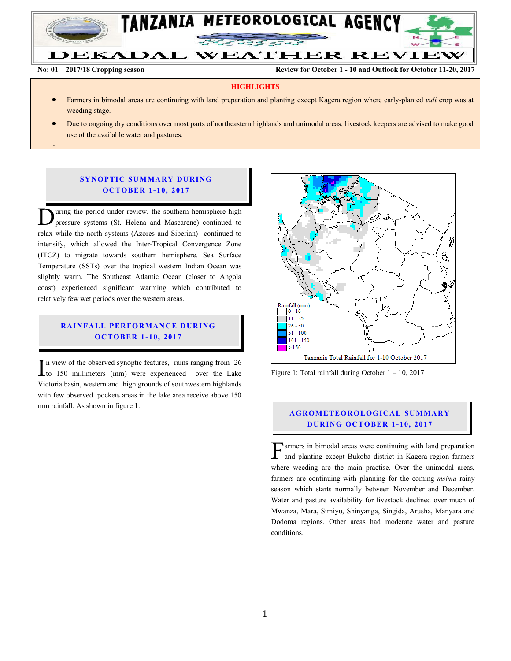

Ļ

**No: 01 2017/18 Cropping season Review for October 1 - 10 and Outlook for October 11-20, 2017**

## **HIGHLIGHTS**

- Farmers in bimodal areas are continuing with land preparation and planting except Kagera region where early-planted *vuli* crop was at weeding stage.
- Due to ongoing dry conditions over most parts of northeastern highlands and unimodal areas, livestock keepers are advised to make good use of the available water and pastures.

## **SYNOPTIC SUMMARY DURING O C TO BER 1 - 10, 2017**

uring the period under review, the southern hemisphere high pressure systems (St. Helena and Mascarene) continued to Uning the period under review, the southern hemisphere high pressure systems (St. Helena and Mascarene) continued to relax while the north systems (Azores and Siberian) continued to intensify, which allowed the Inter-Tropical Convergence Zone (ITCZ) to migrate towards southern hemisphere. Sea Surface Temperature (SSTs) over the tropical western Indian Ocean was slightly warm. The Southeast Atlantic Ocean (closer to Angola coast) experienced significant warming which contributed to relatively few wet periods over the western areas.

## **RAINFALL PERFORMANCE DURING O C TO BER 1 - 10, 2017**

n view of the observed synoptic features, rains ranging from 26 In view of the observed synoptic features, rains ranging from 26 to 150 millimeters (mm) were experienced over the Lake Victoria basin, western and high grounds of southwestern highlands with few observed pockets areas in the lake area receive above 150 mm rainfall. As shown in figure 1.



Figure 1: Total rainfall during October 1 – 10, 2017

## **A G RO METEO R O LOG ICA L SU MMA RY D UR ING OC TO BER 1 - 1 0, 2017**

armers in bimodal areas were continuing with land preparation and planting except Bukoba district in Kagera region farmers where weeding are the main practise. Over the unimodal areas, farmers are continuing with planning for the coming *msimu* rainy season which starts normally between November and December. Water and pasture availability for livestock declined over much of Mwanza, Mara, Simiyu, Shinyanga, Singida, Arusha, Manyara and Dodoma regions. Other areas had moderate water and pasture conditions. F